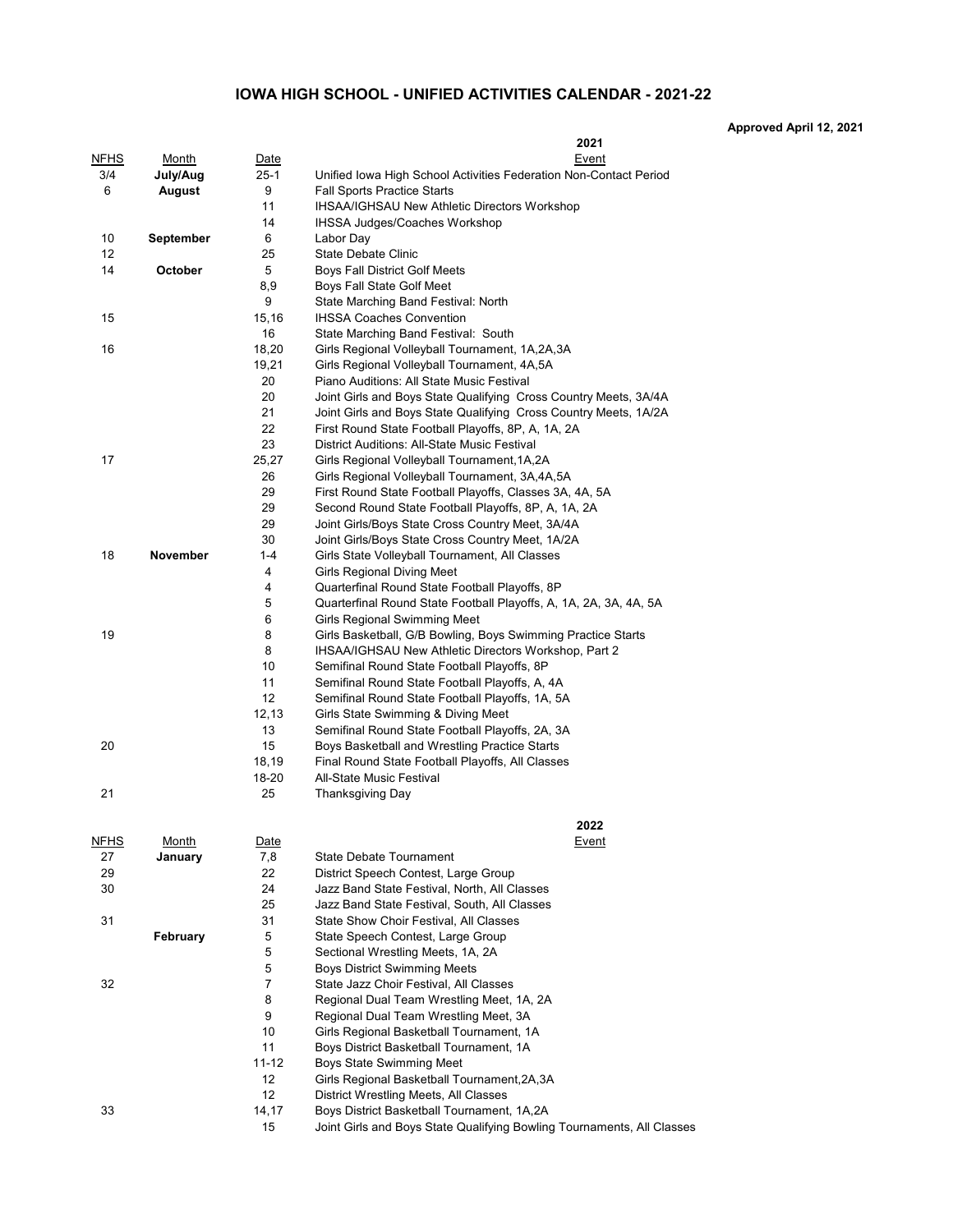## **IOWA HIGH SCHOOL - UNIFIED ACTIVITIES CALENDAR - 2021-22**

## **Approved April 12, 2021**

| NFHS        | <u>Month</u> | <u>Date</u>      | <u>Event</u>                                                           |
|-------------|--------------|------------------|------------------------------------------------------------------------|
| 3/4         | July/Aug     | $25-1$           | Unified Iowa High School Activities Federation Non-Contact Period      |
| 6           | August       | 9                | <b>Fall Sports Practice Starts</b>                                     |
|             |              | 11               | <b>IHSAA/IGHSAU New Athletic Directors Workshop</b>                    |
|             |              | 14               | IHSSA Judges/Coaches Workshop                                          |
| 10          | September    | 6                | Labor Day                                                              |
| 12          |              | 25               | State Debate Clinic                                                    |
| 14          | October      | 5                | Boys Fall District Golf Meets                                          |
|             |              | 8,9              | Boys Fall State Golf Meet                                              |
|             |              | 9                | State Marching Band Festival: North                                    |
| 15          |              | 15,16            | <b>IHSSA Coaches Convention</b>                                        |
|             |              | 16               | State Marching Band Festival: South                                    |
| 16          |              | 18,20            | Girls Regional Volleyball Tournament, 1A,2A,3A                         |
|             |              | 19,21            | Girls Regional Volleyball Tournament, 4A,5A                            |
|             |              | 20               | Piano Auditions: All State Music Festival                              |
|             |              | 20               | Joint Girls and Boys State Qualifying Cross Country Meets, 3A/4A       |
|             |              | 21               | Joint Girls and Boys State Qualifying Cross Country Meets, 1A/2A       |
|             |              | 22               | First Round State Football Playoffs, 8P, A, 1A, 2A                     |
|             |              | 23               | District Auditions: All-State Music Festival                           |
| 17          |              | 25,27            | Girls Regional Volleyball Tournament, 1A, 2A                           |
|             |              | 26               | Girls Regional Volleyball Tournament, 3A,4A,5A                         |
|             |              | 29               | First Round State Football Playoffs, Classes 3A, 4A, 5A                |
|             |              | 29               | Second Round State Football Playoffs, 8P, A, 1A, 2A                    |
|             |              | 29               | Joint Girls/Boys State Cross Country Meet, 3A/4A                       |
|             |              | 30               | Joint Girls/Boys State Cross Country Meet, 1A/2A                       |
| 18          | November     | $1 - 4$          | Girls State Volleyball Tournament, All Classes                         |
|             |              | 4                | Girls Regional Diving Meet                                             |
|             |              | 4                | Quarterfinal Round State Football Playoffs, 8P                         |
|             |              | 5                | Quarterfinal Round State Football Playoffs, A, 1A, 2A, 3A, 4A, 5A      |
|             |              | 6                | Girls Regional Swimming Meet                                           |
| 19          |              | 8                | Girls Basketball, G/B Bowling, Boys Swimming Practice Starts           |
|             |              | 8                | IHSAA/IGHSAU New Athletic Directors Workshop, Part 2                   |
|             |              | 10               | Semifinal Round State Football Playoffs, 8P                            |
|             |              | 11               | Semifinal Round State Football Playoffs, A, 4A                         |
|             |              | 12               | Semifinal Round State Football Playoffs, 1A, 5A                        |
|             |              | 12,13            | Girls State Swimming & Diving Meet                                     |
|             |              | 13               | Semifinal Round State Football Playoffs, 2A, 3A                        |
| 20          |              | 15               | Boys Basketball and Wrestling Practice Starts                          |
|             |              | 18,19            | Final Round State Football Playoffs, All Classes                       |
|             |              | 18-20            | All-State Music Festival                                               |
| 21          |              | 25               | Thanksgiving Day                                                       |
|             |              |                  |                                                                        |
|             |              |                  | 2022                                                                   |
| <u>NFHS</u> | <u>Month</u> | <u>Date</u>      | <u>Event</u>                                                           |
| 27          | January      | 7,8              | State Debate Tournament                                                |
| 29          |              | 22               | District Speech Contest, Large Group                                   |
| 30          |              | 24               | Jazz Band State Festival, North, All Classes                           |
|             |              | 25               | Jazz Band State Festival, South, All Classes                           |
| 31          |              | 31               | State Show Choir Festival, All Classes                                 |
|             | February     | 5                | State Speech Contest, Large Group                                      |
|             |              | 5                | Sectional Wrestling Meets, 1A, 2A                                      |
|             |              | $\mathbf 5$      | Boys District Swimming Meets                                           |
| 32          |              | $\boldsymbol{7}$ | State Jazz Choir Festival, All Classes                                 |
|             |              | 8                | Regional Dual Team Wrestling Meet, 1A, 2A                              |
|             |              | 9                | Regional Dual Team Wrestling Meet, 3A                                  |
|             |              | 10               | Girls Regional Basketball Tournament, 1A                               |
|             |              | 11               | Boys District Basketball Tournament, 1A                                |
|             |              | 11-12            | Boys State Swimming Meet                                               |
|             |              | 12               | Girls Regional Basketball Tournament, 2A, 3A                           |
|             |              | 12               | District Wrestling Meets, All Classes                                  |
| 33          |              | 14,17            | Boys District Basketball Tournament, 1A,2A                             |
|             |              | 15               | Joint Girls and Boys State Qualifying Bowling Tournaments, All Classes |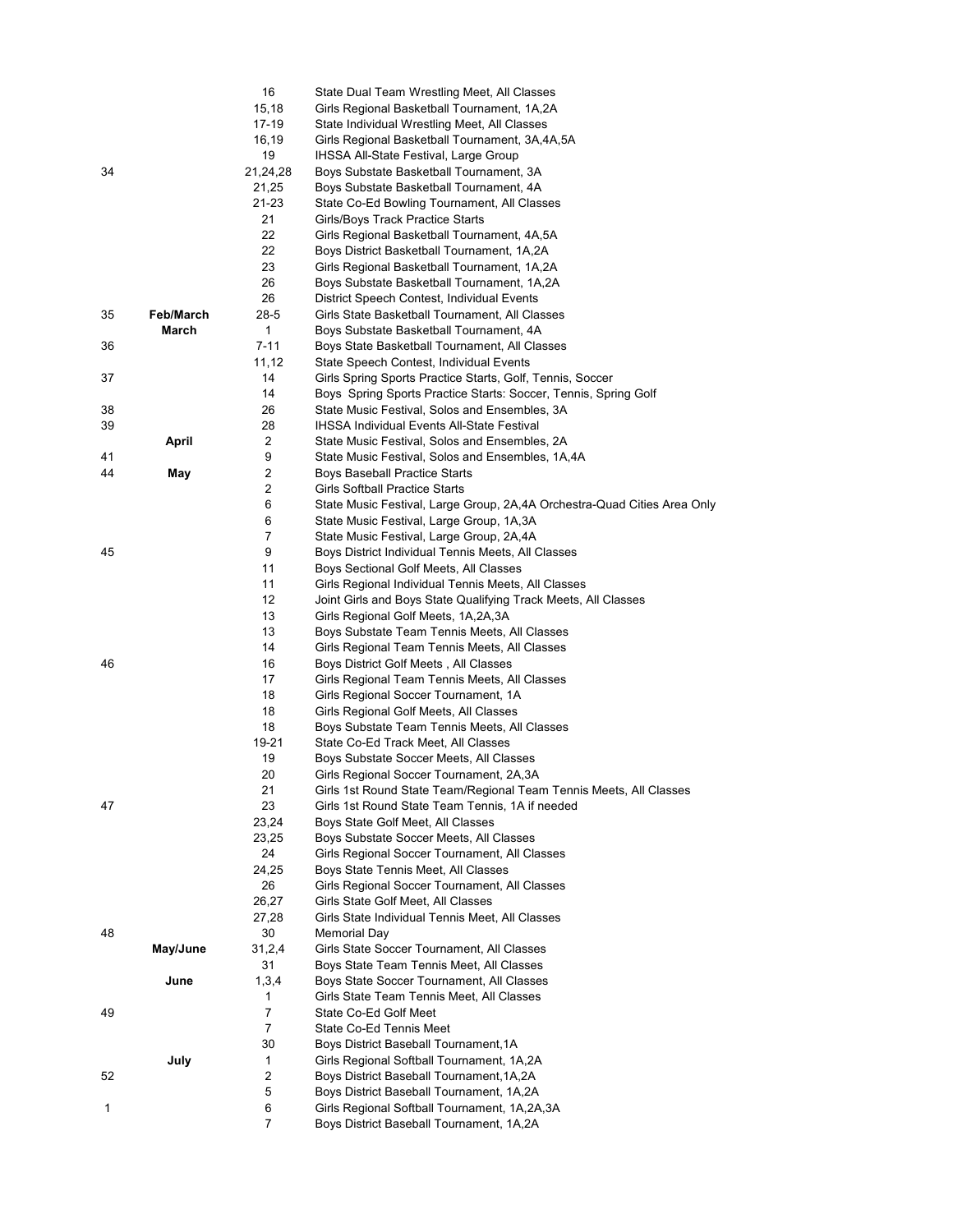|    |           | 16             | State Dual Team Wrestling Meet, All Classes                                                   |
|----|-----------|----------------|-----------------------------------------------------------------------------------------------|
|    |           | 15,18          | Girls Regional Basketball Tournament, 1A,2A                                                   |
|    |           | 17-19          | State Individual Wrestling Meet, All Classes                                                  |
|    |           | 16,19          | Girls Regional Basketball Tournament, 3A,4A,5A                                                |
|    |           | 19             | IHSSA All-State Festival, Large Group                                                         |
| 34 |           | 21,24,28       | Boys Substate Basketball Tournament, 3A                                                       |
|    |           | 21,25          | Boys Substate Basketball Tournament, 4A                                                       |
|    |           | 21-23          | State Co-Ed Bowling Tournament, All Classes                                                   |
|    |           | 21             | Girls/Boys Track Practice Starts                                                              |
|    |           | 22<br>22       | Girls Regional Basketball Tournament, 4A,5A                                                   |
|    |           | 23             | Boys District Basketball Tournament, 1A,2A<br>Girls Regional Basketball Tournament, 1A,2A     |
|    |           | 26             | Boys Substate Basketball Tournament, 1A,2A                                                    |
|    |           | 26             | District Speech Contest, Individual Events                                                    |
| 35 | Feb/March | 28-5           | Girls State Basketball Tournament, All Classes                                                |
|    | March     | 1              | Boys Substate Basketball Tournament, 4A                                                       |
| 36 |           | 7-11           | Boys State Basketball Tournament, All Classes                                                 |
|    |           | 11,12          | State Speech Contest, Individual Events                                                       |
| 37 |           | 14             | Girls Spring Sports Practice Starts, Golf, Tennis, Soccer                                     |
|    |           | 14             | Boys Spring Sports Practice Starts: Soccer, Tennis, Spring Golf                               |
| 38 |           | 26             | State Music Festival, Solos and Ensembles, 3A                                                 |
| 39 |           | 28             | IHSSA Individual Events All-State Festival                                                    |
|    | April     | 2              | State Music Festival, Solos and Ensembles, 2A                                                 |
| 41 |           | 9              | State Music Festival, Solos and Ensembles, 1A,4A                                              |
| 44 | May       | 2              | Boys Baseball Practice Starts                                                                 |
|    |           | $\overline{c}$ | <b>Girls Softball Practice Starts</b>                                                         |
|    |           | 6              | State Music Festival, Large Group, 2A,4A Orchestra-Quad Cities Area Only                      |
|    |           | 6              | State Music Festival, Large Group, 1A,3A                                                      |
|    |           | $\overline{7}$ | State Music Festival, Large Group, 2A,4A                                                      |
| 45 |           | 9              | Boys District Individual Tennis Meets, All Classes                                            |
|    |           | 11             | Boys Sectional Golf Meets, All Classes                                                        |
|    |           | 11             | Girls Regional Individual Tennis Meets, All Classes                                           |
|    |           | 12             | Joint Girls and Boys State Qualifying Track Meets, All Classes                                |
|    |           | 13<br>13       | Girls Regional Golf Meets, 1A,2A,3A                                                           |
|    |           | 14             | Boys Substate Team Tennis Meets, All Classes<br>Girls Regional Team Tennis Meets, All Classes |
| 46 |           | 16             | Boys District Golf Meets , All Classes                                                        |
|    |           | 17             | Girls Regional Team Tennis Meets, All Classes                                                 |
|    |           | 18             | Girls Regional Soccer Tournament, 1A                                                          |
|    |           | 18             | Girls Regional Golf Meets, All Classes                                                        |
|    |           | 18             | Boys Substate Team Tennis Meets, All Classes                                                  |
|    |           | 19-21          | State Co-Ed Track Meet, All Classes                                                           |
|    |           | 19             | Boys Substate Soccer Meets, All Classes                                                       |
|    |           | 20             | Girls Regional Soccer Tournament, 2A,3A                                                       |
|    |           | 21             | Girls 1st Round State Team/Regional Team Tennis Meets, All Classes                            |
| 47 |           | 23             | Girls 1st Round State Team Tennis, 1A if needed                                               |
|    |           | 23,24          | Boys State Golf Meet, All Classes                                                             |
|    |           | 23,25          | Boys Substate Soccer Meets, All Classes                                                       |
|    |           | 24             | Girls Regional Soccer Tournament, All Classes                                                 |
|    |           | 24,25          | Boys State Tennis Meet, All Classes                                                           |
|    |           | 26             | Girls Regional Soccer Tournament, All Classes                                                 |
|    |           | 26,27          | Girls State Golf Meet, All Classes                                                            |
|    |           | 27,28          | Girls State Individual Tennis Meet, All Classes                                               |
| 48 |           | 30             | Memorial Day                                                                                  |
|    | May/June  | 31,2,4<br>31   | Girls State Soccer Tournament, All Classes                                                    |
|    |           |                | Boys State Team Tennis Meet, All Classes                                                      |
|    | June      | 1,3,4<br>1     | Boys State Soccer Tournament, All Classes<br>Girls State Team Tennis Meet, All Classes        |
| 49 |           | 7              | State Co-Ed Golf Meet                                                                         |
|    |           | 7              | State Co-Ed Tennis Meet                                                                       |
|    |           | 30             | Boys District Baseball Tournament, 1A                                                         |
|    | July      | 1              | Girls Regional Softball Tournament, 1A,2A                                                     |
| 52 |           | $\overline{c}$ | Boys District Baseball Tournament, 1A, 2A                                                     |
|    |           | 5              | Boys District Baseball Tournament, 1A,2A                                                      |
| 1  |           | 6              | Girls Regional Softball Tournament, 1A,2A,3A                                                  |
|    |           | $\overline{7}$ | Boys District Baseball Tournament, 1A,2A                                                      |